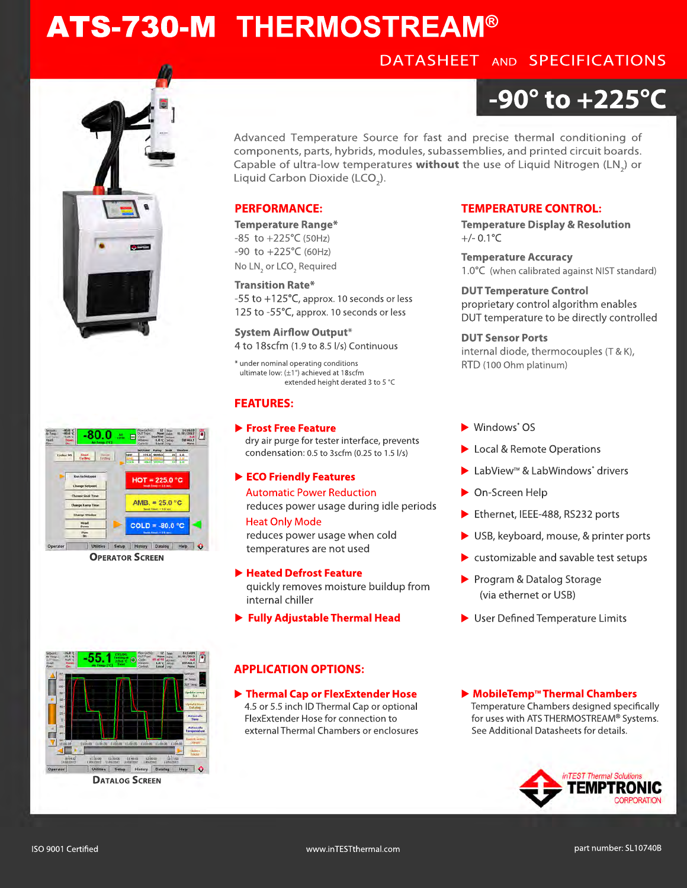## ATS-730-M **THERMOSTREAM®**









**OPERATOR SCREEN**



**DATALOG SCREEN**

# **-90° to +225°C**

Advanced Temperature Source for fast and precise thermal conditioning of components, parts, hybrids, modules, subassemblies, and printed circuit boards. Capable of ultra-low temperatures **without** the use of Liquid Nitrogen (LN<sub>2</sub>) or Liquid Carbon Dioxide (LCO<sub>2</sub>).

#### **PERFORMANCE:**

**Temperature Range\***  $-85$  to  $+225^{\circ}$ C (50Hz) -90 to +225°C (60Hz) No  $LN<sub>2</sub>$  or LCO<sub>2</sub> Required

**Transition Rate\*** -55 to +125°C, approx. 10 seconds or less 125 to -55°C, approx. 10 seconds or less

**System Airflow Output\*** 4 to 18scfm (1.9 to 8.5 l/s) Continuous

\* under nominal operating conditions ultimate low: (±1°) achieved at 18scfm extended height derated 3 to 5 °C

#### **FEATURES:**

 **Frost Free Feature** dry air purge for tester interface, prevents condensation: 0.5 to 3scfm (0.25 to 1.5 l/s)

#### **ECO Friendly Features**

Automatic Power Reduction reduces power usage during idle periods

#### **Heat Only Mode**

 reduces power usage when cold temperatures are not used

#### **Heated Defrost Feature**

 quickly removes moisture buildup from internal chiller

**Fully Adjustable Thermal Head**

### **APPLICATION OPTIONS:**

 **Thermal Cap or FlexExtender Hose** 4.5 or 5.5 inch ID Thermal Cap or optional FlexExtender Hose for connection to external Thermal Chambers or enclosures

#### **TEMPERATURE CONTROL:**

**Temperature Display & Resolution**  $+/- 0.1$ °C

**Temperature Accuracy** 1.0°C (when calibrated against NIST standard)

**DUT Temperature Control** proprietary control algorithm enables DUT temperature to be directly controlled

**DUT Sensor Ports** internal diode, thermocouples (T & K), RTD (100 Ohm platinum)

- ▶ Windows<sup>®</sup> OS
- ▶ Local & Remote Operations
- ▶ LabView<sup>™</sup> & LabWindows<sup>®</sup> drivers
- ▶ On-Screen Help
- Ethernet, IEEE-488, RS232 ports
- ▶ USB, keyboard, mouse, & printer ports
- $\blacktriangleright$  customizable and savable test setups
- Program & Datalog Storage (via ethernet or USB)
- $\blacktriangleright$  User Defined Temperature Limits

▶ MobileTemp<sup>™</sup> Thermal Chambers Temperature Chambers designed specifically for uses with ATS THERMOSTREAM**®** Systems. See Additional Datasheets for details.